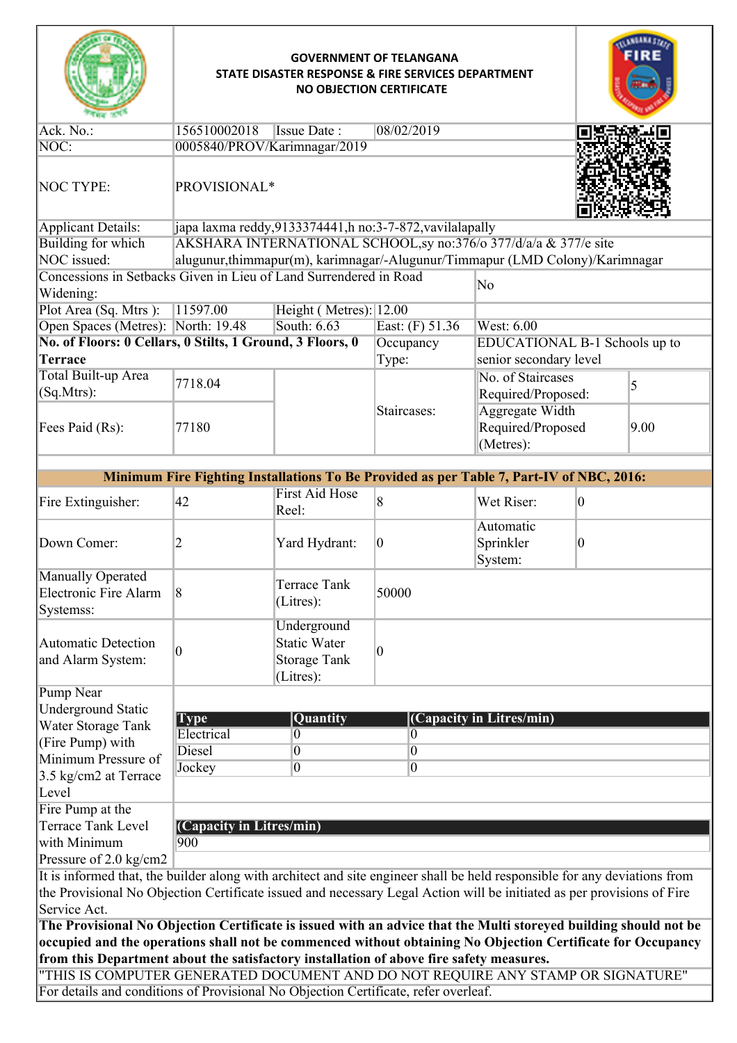|                                                                                                                                                                                                        | <b>GOVERNMENT OF TELANGANA</b><br>STATE DISASTER RESPONSE & FIRE SERVICES DEPARTMENT<br><b>NO OBJECTION CERTIFICATE</b> |                                                                        |                                                                         |                                                                                          |                 |      |
|--------------------------------------------------------------------------------------------------------------------------------------------------------------------------------------------------------|-------------------------------------------------------------------------------------------------------------------------|------------------------------------------------------------------------|-------------------------------------------------------------------------|------------------------------------------------------------------------------------------|-----------------|------|
| Ack. No.:                                                                                                                                                                                              | 156510002018<br><b>Issue Date:</b><br>08/02/2019                                                                        |                                                                        |                                                                         |                                                                                          |                 |      |
| $NOC$ :                                                                                                                                                                                                | 0005840/PROV/Karimnagar/2019                                                                                            |                                                                        |                                                                         |                                                                                          |                 |      |
| <b>NOC TYPE:</b>                                                                                                                                                                                       | PROVISIONAL*                                                                                                            |                                                                        |                                                                         |                                                                                          |                 |      |
| Applicant Details:                                                                                                                                                                                     | japa laxma reddy, 9133374441, h no: 3-7-872, vavilalapally                                                              |                                                                        |                                                                         |                                                                                          |                 |      |
| Building for which                                                                                                                                                                                     | AKSHARA INTERNATIONAL SCHOOL, sy no:376/o 377/d/a/a & 377/e site                                                        |                                                                        |                                                                         |                                                                                          |                 |      |
| NOC issued:                                                                                                                                                                                            |                                                                                                                         |                                                                        |                                                                         | alugunur, thimmapur(m), karimnagar/-Alugunur/Timmapur (LMD Colony)/Karimnagar            |                 |      |
| Widening:                                                                                                                                                                                              | Concessions in Setbacks Given in Lieu of Land Surrendered in Road<br>No                                                 |                                                                        |                                                                         |                                                                                          |                 |      |
| Plot Area (Sq. Mtrs):                                                                                                                                                                                  | 11597.00                                                                                                                | Height (Metres): 12.00                                                 |                                                                         |                                                                                          |                 |      |
| Open Spaces (Metres): North: 19.48                                                                                                                                                                     |                                                                                                                         | South: 6.63                                                            | East: (F) 51.36                                                         | West: 6.00                                                                               |                 |      |
| No. of Floors: 0 Cellars, 0 Stilts, 1 Ground, 3 Floors, 0                                                                                                                                              |                                                                                                                         |                                                                        | Occupancy                                                               | EDUCATIONAL B-1 Schools up to                                                            |                 |      |
| <b>Terrace</b>                                                                                                                                                                                         |                                                                                                                         |                                                                        | Type:                                                                   | senior secondary level                                                                   |                 |      |
| Total Built-up Area                                                                                                                                                                                    | 7718.04                                                                                                                 |                                                                        |                                                                         | No. of Staircases                                                                        | 5               |      |
| (Sq.Mtrs):                                                                                                                                                                                             |                                                                                                                         |                                                                        |                                                                         | Required/Proposed:                                                                       |                 |      |
| Fees Paid (Rs):                                                                                                                                                                                        | 77180                                                                                                                   |                                                                        | <b>Aggregate Width</b><br>Staircases:<br>Required/Proposed<br>(Metres): |                                                                                          |                 | 9.00 |
|                                                                                                                                                                                                        |                                                                                                                         |                                                                        |                                                                         | Minimum Fire Fighting Installations To Be Provided as per Table 7, Part-IV of NBC, 2016: |                 |      |
| Fire Extinguisher:                                                                                                                                                                                     | 42                                                                                                                      | <b>First Aid Hose</b><br>Reel:                                         | 8                                                                       | Wet Riser:                                                                               | $\vert 0 \vert$ |      |
| Down Comer:                                                                                                                                                                                            | 2                                                                                                                       | Yard Hydrant:                                                          | $\overline{0}$                                                          | Automatic<br>Sprinkler<br>System:                                                        | $\vert 0 \vert$ |      |
| Manually Operated<br>Electronic Fire Alarm<br>Systemss:                                                                                                                                                | $\vert 8$                                                                                                               | Terrace Tank<br>(Litres):                                              | 50000                                                                   |                                                                                          |                 |      |
| Automatic Detection<br>and Alarm System:                                                                                                                                                               | $ 0\rangle$                                                                                                             | Underground<br><b>Static Water</b><br><b>Storage Tank</b><br>(Litres): | 0                                                                       |                                                                                          |                 |      |
| Pump Near                                                                                                                                                                                              |                                                                                                                         |                                                                        |                                                                         |                                                                                          |                 |      |
| <b>Underground Static</b>                                                                                                                                                                              |                                                                                                                         | Quantity                                                               |                                                                         |                                                                                          |                 |      |
| Water Storage Tank                                                                                                                                                                                     | (Capacity in Litres/min)<br><b>Type</b><br>Electrical<br>10<br>0                                                        |                                                                        |                                                                         |                                                                                          |                 |      |
| (Fire Pump) with                                                                                                                                                                                       | <b>Diesel</b>                                                                                                           | $ 0\rangle$                                                            | $\boldsymbol{0}$                                                        |                                                                                          |                 |      |
| Minimum Pressure of                                                                                                                                                                                    | Jockey                                                                                                                  | $\overline{0}$                                                         | 0                                                                       |                                                                                          |                 |      |
| 3.5 kg/cm2 at Terrace<br>Level                                                                                                                                                                         |                                                                                                                         |                                                                        |                                                                         |                                                                                          |                 |      |
| Fire Pump at the                                                                                                                                                                                       |                                                                                                                         |                                                                        |                                                                         |                                                                                          |                 |      |
| <b>Terrace Tank Level</b><br>with Minimum                                                                                                                                                              | (Capacity in Litres/min)<br>900                                                                                         |                                                                        |                                                                         |                                                                                          |                 |      |
| Pressure of 2.0 kg/cm2                                                                                                                                                                                 |                                                                                                                         |                                                                        |                                                                         |                                                                                          |                 |      |
| It is informed that, the builder along with architect and site engineer shall be held responsible for any deviations from                                                                              |                                                                                                                         |                                                                        |                                                                         |                                                                                          |                 |      |
| the Provisional No Objection Certificate issued and necessary Legal Action will be initiated as per provisions of Fire                                                                                 |                                                                                                                         |                                                                        |                                                                         |                                                                                          |                 |      |
| Service Act.                                                                                                                                                                                           |                                                                                                                         |                                                                        |                                                                         |                                                                                          |                 |      |
| The Provisional No Objection Certificate is issued with an advice that the Multi storeyed building should not be                                                                                       |                                                                                                                         |                                                                        |                                                                         |                                                                                          |                 |      |
| occupied and the operations shall not be commenced without obtaining No Objection Certificate for Occupancy<br>from this Department about the satisfactory installation of above fire safety measures. |                                                                                                                         |                                                                        |                                                                         |                                                                                          |                 |      |
| "THIS IS COMPUTER GENERATED DOCUMENT AND DO NOT REQUIRE ANY STAMP OR SIGNATURE"                                                                                                                        |                                                                                                                         |                                                                        |                                                                         |                                                                                          |                 |      |
| For details and conditions of Provisional No Objection Certificate, refer overleaf.                                                                                                                    |                                                                                                                         |                                                                        |                                                                         |                                                                                          |                 |      |